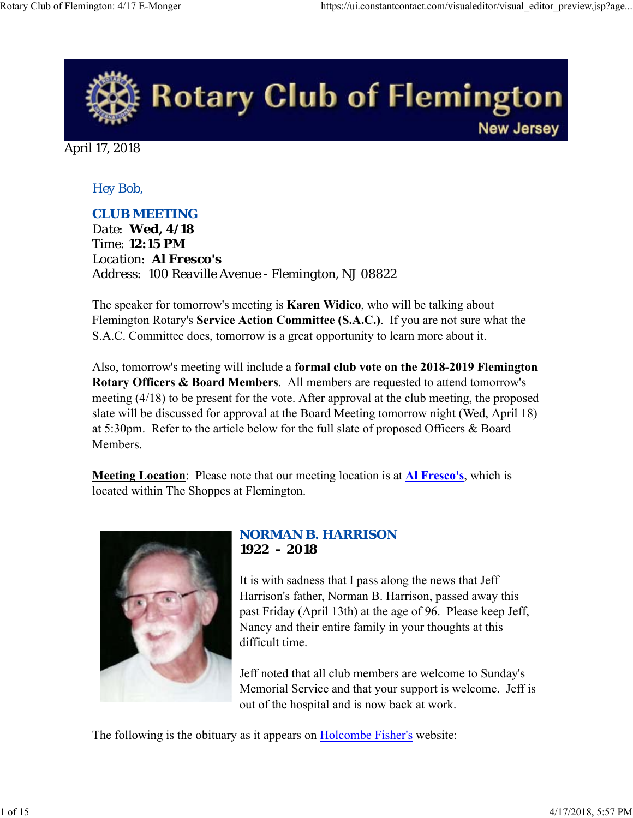

April 17, 2018

*Hey Bob,* 

## *CLUB MEETING*

*Date: Wed, 4/18 Time: 12:15 PM Location: Al Fresco's Address: 100 Reaville Avenue - Flemington, NJ 08822*

The speaker for tomorrow's meeting is **Karen Widico**, who will be talking about Flemington Rotary's **Service Action Committee (S.A.C.)**. If you are not sure what the S.A.C. Committee does, tomorrow is a great opportunity to learn more about it.

Also, tomorrow's meeting will include a **formal club vote on the 2018-2019 Flemington Rotary Officers & Board Members**. All members are requested to attend tomorrow's meeting (4/18) to be present for the vote. After approval at the club meeting, the proposed slate will be discussed for approval at the Board Meeting tomorrow night (Wed, April 18) at 5:30pm. Refer to the article below for the full slate of proposed Officers & Board Members.

**Meeting Location**: Please note that our meeting location is at **Al Fresco's**, which is located within The Shoppes at Flemington.



#### *NORMAN B. HARRISON* **1922 - 2018**

It is with sadness that I pass along the news that Jeff Harrison's father, Norman B. Harrison, passed away this past Friday (April 13th) at the age of 96. Please keep Jeff, Nancy and their entire family in your thoughts at this difficult time.

Jeff noted that all club members are welcome to Sunday's Memorial Service and that your support is welcome. Jeff is out of the hospital and is now back at work.

The following is the obituary as it appears on **Holcombe Fisher's** website: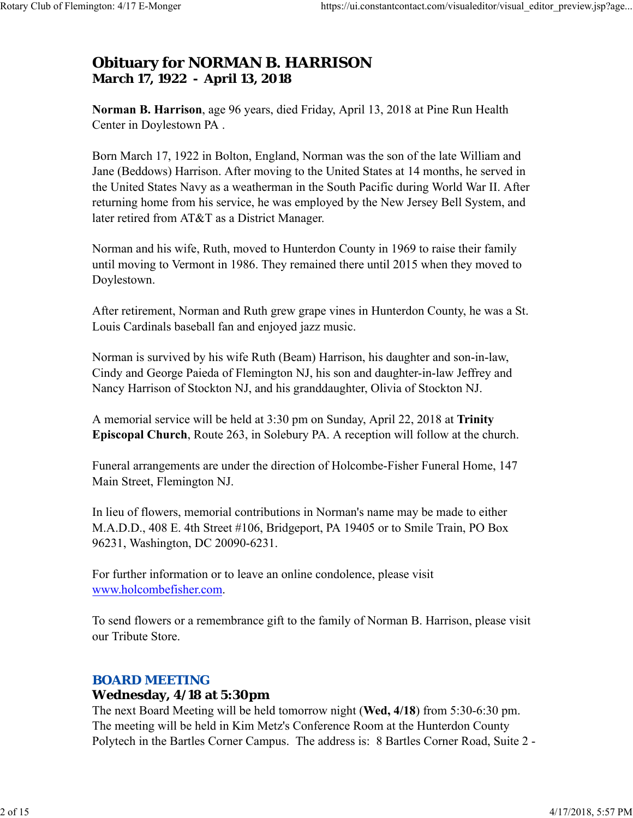# **Obituary for NORMAN B. HARRISON March 17, 1922 - April 13, 2018**

**Norman B. Harrison**, age 96 years, died Friday, April 13, 2018 at Pine Run Health Center in Doylestown PA .

Born March 17, 1922 in Bolton, England, Norman was the son of the late William and Jane (Beddows) Harrison. After moving to the United States at 14 months, he served in the United States Navy as a weatherman in the South Pacific during World War II. After returning home from his service, he was employed by the New Jersey Bell System, and later retired from AT&T as a District Manager.

Norman and his wife, Ruth, moved to Hunterdon County in 1969 to raise their family until moving to Vermont in 1986. They remained there until 2015 when they moved to Doylestown.

After retirement, Norman and Ruth grew grape vines in Hunterdon County, he was a St. Louis Cardinals baseball fan and enjoyed jazz music.

Norman is survived by his wife Ruth (Beam) Harrison, his daughter and son-in-law, Cindy and George Paieda of Flemington NJ, his son and daughter-in-law Jeffrey and Nancy Harrison of Stockton NJ, and his granddaughter, Olivia of Stockton NJ.

A memorial service will be held at 3:30 pm on Sunday, April 22, 2018 at **Trinity Episcopal Church**, Route 263, in Solebury PA. A reception will follow at the church.

Funeral arrangements are under the direction of Holcombe-Fisher Funeral Home, 147 Main Street, Flemington NJ.

In lieu of flowers, memorial contributions in Norman's name may be made to either M.A.D.D., 408 E. 4th Street #106, Bridgeport, PA 19405 or to Smile Train, PO Box 96231, Washington, DC 20090-6231.

For further information or to leave an online condolence, please visit www.holcombefisher.com.

To send flowers or a remembrance gift to the family of Norman B. Harrison, please visit our Tribute Store.

#### *BOARD MEETING*

#### **Wednesday, 4/18 at 5:30pm**

The next Board Meeting will be held tomorrow night (**Wed, 4/18**) from 5:30-6:30 pm. The meeting will be held in Kim Metz's Conference Room at the Hunterdon County Polytech in the Bartles Corner Campus. The address is: 8 Bartles Corner Road, Suite 2 -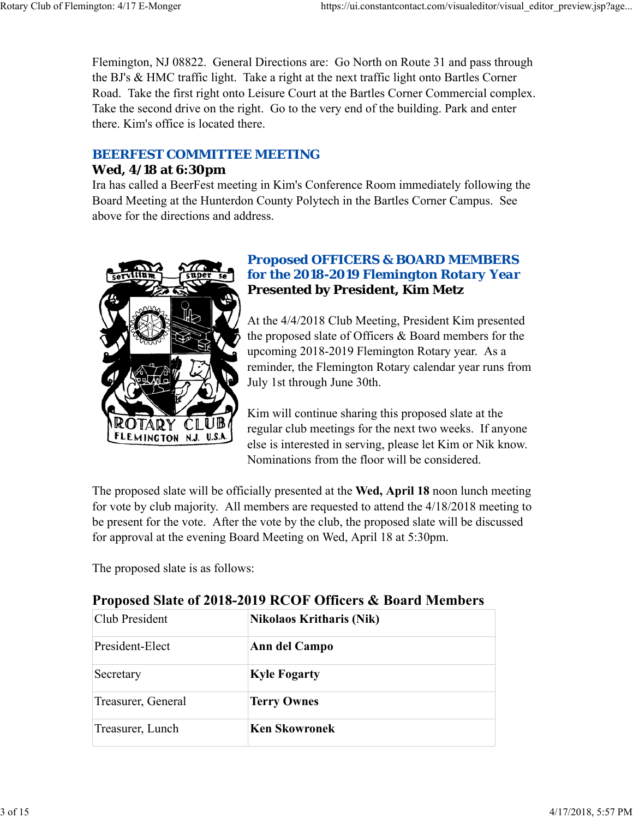Flemington, NJ 08822. General Directions are: Go North on Route 31 and pass through the BJ's & HMC traffic light. Take a right at the next traffic light onto Bartles Corner Road. Take the first right onto Leisure Court at the Bartles Corner Commercial complex. Take the second drive on the right. Go to the very end of the building. Park and enter there. Kim's office is located there.

## *BEERFEST COMMITTEE MEETING*

#### **Wed, 4/18 at 6:30pm**

Ira has called a BeerFest meeting in Kim's Conference Room immediately following the Board Meeting at the Hunterdon County Polytech in the Bartles Corner Campus. See above for the directions and address.



## *Proposed OFFICERS & BOARD MEMBERS for the 2018-2019 Flemington Rotary Year* **Presented by President, Kim Metz**

At the 4/4/2018 Club Meeting, President Kim presented the proposed slate of Officers & Board members for the upcoming 2018-2019 Flemington Rotary year. As a reminder, the Flemington Rotary calendar year runs from July 1st through June 30th.

Kim will continue sharing this proposed slate at the regular club meetings for the next two weeks. If anyone else is interested in serving, please let Kim or Nik know. Nominations from the floor will be considered.

The proposed slate will be officially presented at the **Wed, April 18** noon lunch meeting for vote by club majority. All members are requested to attend the 4/18/2018 meeting to be present for the vote. After the vote by the club, the proposed slate will be discussed for approval at the evening Board Meeting on Wed, April 18 at 5:30pm.

The proposed slate is as follows:

| Troposta blait of 2010-2017 INCOP Officers & Doard McMocrs |                                 |  |
|------------------------------------------------------------|---------------------------------|--|
| Club President                                             | <b>Nikolaos Kritharis (Nik)</b> |  |
| President-Elect                                            | Ann del Campo                   |  |
| Secretary                                                  | <b>Kyle Fogarty</b>             |  |
| Treasurer, General                                         | <b>Terry Ownes</b>              |  |
| Treasurer, Lunch                                           | <b>Ken Skowronek</b>            |  |
|                                                            |                                 |  |

# **Proposed Slate of 2018-2019 RCOF Officers & Board Members**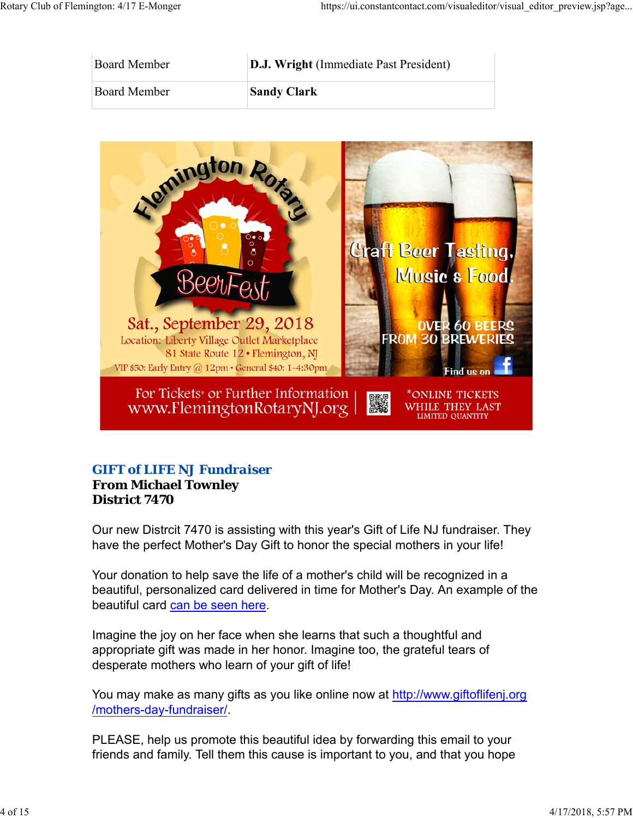| Board Member | <b>D.J. Wright</b> (Immediate Past President) |
|--------------|-----------------------------------------------|
| Board Member | <b>Sandy Clark</b>                            |



## *GIFT of LIFE NJ Fundraiser*

## **From Michael Townley District 7470**

Our new Distrcit 7470 is assisting with this year's Gift of Life NJ fundraiser. They have the perfect Mother's Day Gift to honor the special mothers in your life!

Your donation to help save the life of a mother's child will be recognized in a beautiful, personalized card delivered in time for Mother's Day. An example of the beautiful card can be seen here.

Imagine the joy on her face when she learns that such a thoughtful and appropriate gift was made in her honor. Imagine too, the grateful tears of desperate mothers who learn of your gift of life!

You may make as many gifts as you like online now at http://www.giftoflifenj.org /mothers-day-fundraiser/.

PLEASE, help us promote this beautiful idea by forwarding this email to your friends and family. Tell them this cause is important to you, and that you hope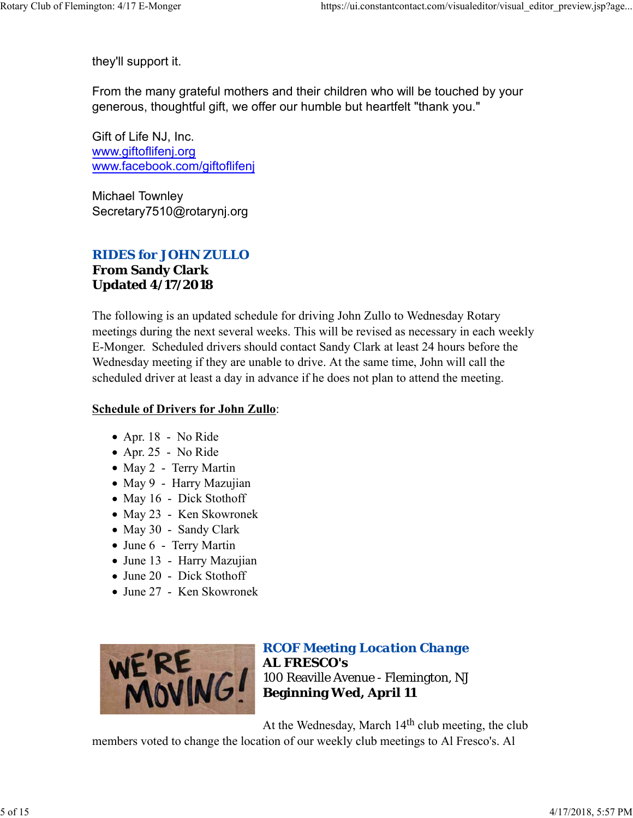they'll support it.

From the many grateful mothers and their children who will be touched by your generous, thoughtful gift, we offer our humble but heartfelt "thank you."

Gift of Life NJ, Inc. www.giftoflifenj.org www.facebook.com/giftoflifenj

Michael Townley Secretary7510@rotarynj.org

## *RIDES for JOHN ZULLO* **From Sandy Clark Updated 4/17/2018**

The following is an updated schedule for driving John Zullo to Wednesday Rotary meetings during the next several weeks. This will be revised as necessary in each weekly E-Monger. Scheduled drivers should contact Sandy Clark at least 24 hours before the Wednesday meeting if they are unable to drive. At the same time, John will call the scheduled driver at least a day in advance if he does not plan to attend the meeting.

## **Schedule of Drivers for John Zullo**:

- Apr. 18 No Ride
- Apr. 25 No Ride
- May 2 Terry Martin
- May 9 Harry Mazujian
- May 16 Dick Stothoff
- May 23 Ken Skowronek
- May 30 Sandy Clark
- June 6 Terry Martin
- June 13 Harry Mazujian
- June 20 Dick Stothoff
- June 27 Ken Skowronek



*RCOF Meeting Location Change* **AL FRESCO's** 100 Reaville Avenue - Flemington, NJ **Beginning Wed, April 11**

At the Wednesday, March 14<sup>th</sup> club meeting, the club

members voted to change the location of our weekly club meetings to Al Fresco's. Al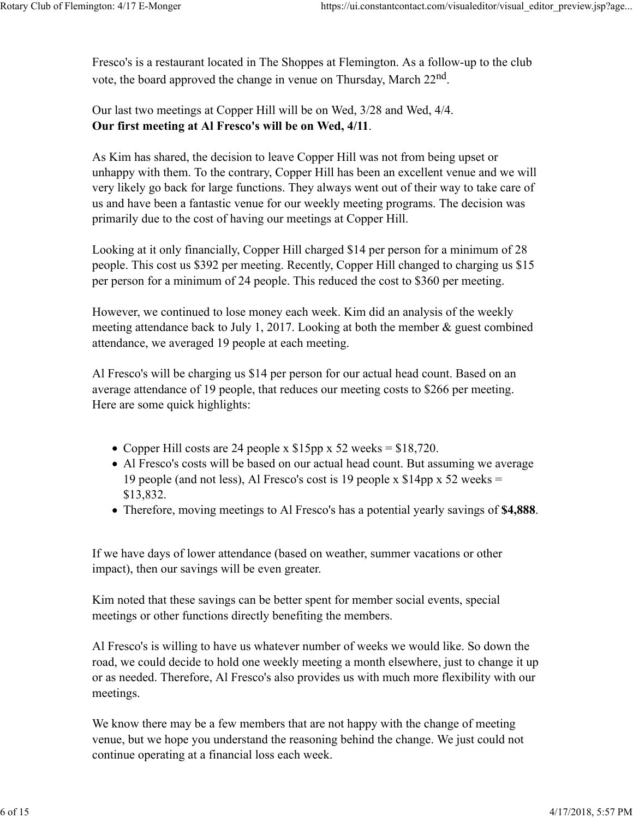Fresco's is a restaurant located in The Shoppes at Flemington. As a follow-up to the club vote, the board approved the change in venue on Thursday, March 22nd.

Our last two meetings at Copper Hill will be on Wed, 3/28 and Wed, 4/4. **Our first meeting at Al Fresco's will be on Wed, 4/11**.

As Kim has shared, the decision to leave Copper Hill was not from being upset or unhappy with them. To the contrary, Copper Hill has been an excellent venue and we will very likely go back for large functions. They always went out of their way to take care of us and have been a fantastic venue for our weekly meeting programs. The decision was primarily due to the cost of having our meetings at Copper Hill.

Looking at it only financially, Copper Hill charged \$14 per person for a minimum of 28 people. This cost us \$392 per meeting. Recently, Copper Hill changed to charging us \$15 per person for a minimum of 24 people. This reduced the cost to \$360 per meeting.

However, we continued to lose money each week. Kim did an analysis of the weekly meeting attendance back to July 1, 2017. Looking at both the member & guest combined attendance, we averaged 19 people at each meeting.

Al Fresco's will be charging us \$14 per person for our actual head count. Based on an average attendance of 19 people, that reduces our meeting costs to \$266 per meeting. Here are some quick highlights:

- Copper Hill costs are 24 people x  $$15pp \times 52$  weeks =  $$18,720$ .
- Al Fresco's costs will be based on our actual head count. But assuming we average 19 people (and not less), Al Fresco's cost is 19 people x \$14pp x 52 weeks = \$13,832.
- Therefore, moving meetings to Al Fresco's has a potential yearly savings of **\$4,888**.

If we have days of lower attendance (based on weather, summer vacations or other impact), then our savings will be even greater.

Kim noted that these savings can be better spent for member social events, special meetings or other functions directly benefiting the members.

Al Fresco's is willing to have us whatever number of weeks we would like. So down the road, we could decide to hold one weekly meeting a month elsewhere, just to change it up or as needed. Therefore, Al Fresco's also provides us with much more flexibility with our meetings.

We know there may be a few members that are not happy with the change of meeting venue, but we hope you understand the reasoning behind the change. We just could not continue operating at a financial loss each week.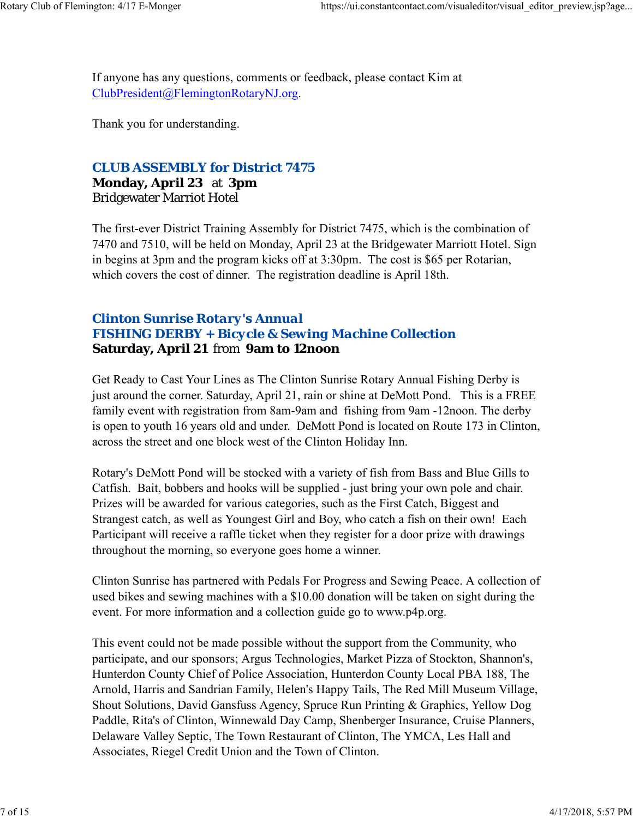If anyone has any questions, comments or feedback, please contact Kim at ClubPresident@FlemingtonRotaryNJ.org.

Thank you for understanding.

#### *CLUB ASSEMBLY for District 7475*

**Monday, April 23** at **3pm** Bridgewater Marriot Hotel

The first-ever District Training Assembly for District 7475, which is the combination of 7470 and 7510, will be held on Monday, April 23 at the Bridgewater Marriott Hotel. Sign in begins at 3pm and the program kicks off at 3:30pm. The cost is \$65 per Rotarian, which covers the cost of dinner. The registration deadline is April 18th.

## *Clinton Sunrise Rotary's Annual FISHING DERBY + Bicycle & Sewing Machine Collection* **Saturday, April 21** from **9am to 12noon**

Get Ready to Cast Your Lines as The Clinton Sunrise Rotary Annual Fishing Derby is just around the corner. Saturday, April 21, rain or shine at DeMott Pond. This is a FREE family event with registration from 8am-9am and fishing from 9am -12noon. The derby is open to youth 16 years old and under. DeMott Pond is located on Route 173 in Clinton, across the street and one block west of the Clinton Holiday Inn.

Rotary's DeMott Pond will be stocked with a variety of fish from Bass and Blue Gills to Catfish. Bait, bobbers and hooks will be supplied - just bring your own pole and chair. Prizes will be awarded for various categories, such as the First Catch, Biggest and Strangest catch, as well as Youngest Girl and Boy, who catch a fish on their own! Each Participant will receive a raffle ticket when they register for a door prize with drawings throughout the morning, so everyone goes home a winner.

Clinton Sunrise has partnered with Pedals For Progress and Sewing Peace. A collection of used bikes and sewing machines with a \$10.00 donation will be taken on sight during the event. For more information and a collection guide go to www.p4p.org.

This event could not be made possible without the support from the Community, who participate, and our sponsors; Argus Technologies, Market Pizza of Stockton, Shannon's, Hunterdon County Chief of Police Association, Hunterdon County Local PBA 188, The Arnold, Harris and Sandrian Family, Helen's Happy Tails, The Red Mill Museum Village, Shout Solutions, David Gansfuss Agency, Spruce Run Printing & Graphics, Yellow Dog Paddle, Rita's of Clinton, Winnewald Day Camp, Shenberger Insurance, Cruise Planners, Delaware Valley Septic, The Town Restaurant of Clinton, The YMCA, Les Hall and Associates, Riegel Credit Union and the Town of Clinton.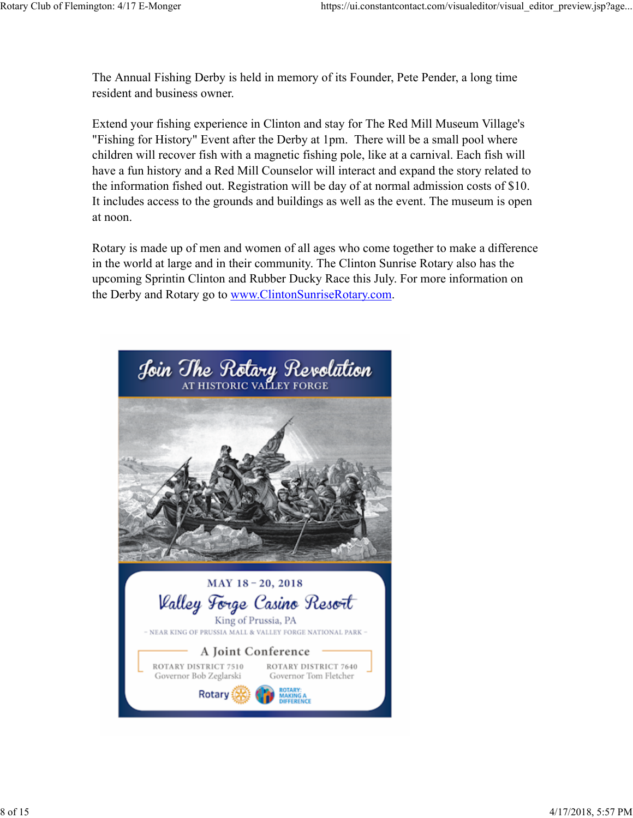The Annual Fishing Derby is held in memory of its Founder, Pete Pender, a long time resident and business owner.

Extend your fishing experience in Clinton and stay for The Red Mill Museum Village's "Fishing for History" Event after the Derby at 1pm. There will be a small pool where children will recover fish with a magnetic fishing pole, like at a carnival. Each fish will have a fun history and a Red Mill Counselor will interact and expand the story related to the information fished out. Registration will be day of at normal admission costs of \$10. It includes access to the grounds and buildings as well as the event. The museum is open at noon.

Rotary is made up of men and women of all ages who come together to make a difference in the world at large and in their community. The Clinton Sunrise Rotary also has the upcoming Sprintin Clinton and Rubber Ducky Race this July. For more information on the Derby and Rotary go to www.ClintonSunriseRotary.com.

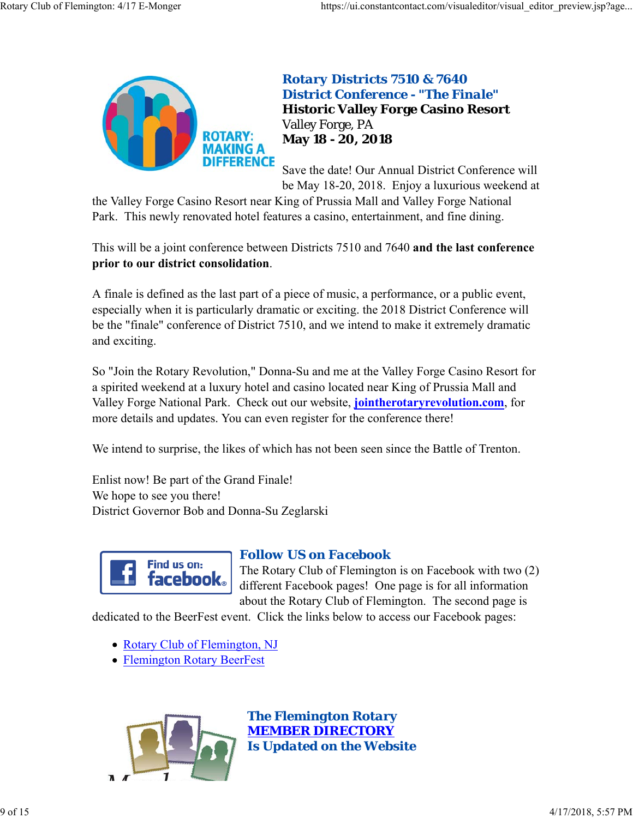

## *Rotary Districts 7510 & 7640 District Conference - "The Finale"* **Historic Valley Forge Casino Resort** Valley Forge, PA **May 18 - 20, 2018**

Save the date! Our Annual District Conference will be May 18-20, 2018. Enjoy a luxurious weekend at

the Valley Forge Casino Resort near King of Prussia Mall and Valley Forge National Park. This newly renovated hotel features a casino, entertainment, and fine dining.

This will be a joint conference between Districts 7510 and 7640 **and the last conference prior to our district consolidation**.

A finale is defined as the last part of a piece of music, a performance, or a public event, especially when it is particularly dramatic or exciting. the 2018 District Conference will be the "finale" conference of District 7510, and we intend to make it extremely dramatic and exciting.

So "Join the Rotary Revolution," Donna-Su and me at the Valley Forge Casino Resort for a spirited weekend at a luxury hotel and casino located near King of Prussia Mall and Valley Forge National Park. Check out our website, **jointherotaryrevolution.com**, for more details and updates. You can even register for the conference there!

We intend to surprise, the likes of which has not been seen since the Battle of Trenton.

Enlist now! Be part of the Grand Finale! We hope to see you there! District Governor Bob and Donna-Su Zeglarski



#### *Follow US on Facebook*

The Rotary Club of Flemington is on Facebook with two (2) different Facebook pages! One page is for all information about the Rotary Club of Flemington. The second page is

dedicated to the BeerFest event. Click the links below to access our Facebook pages:

- Rotary Club of Flemington, NJ
- Flemington Rotary BeerFest



*The Flemington Rotary MEMBER DIRECTORY Is Updated on the Website*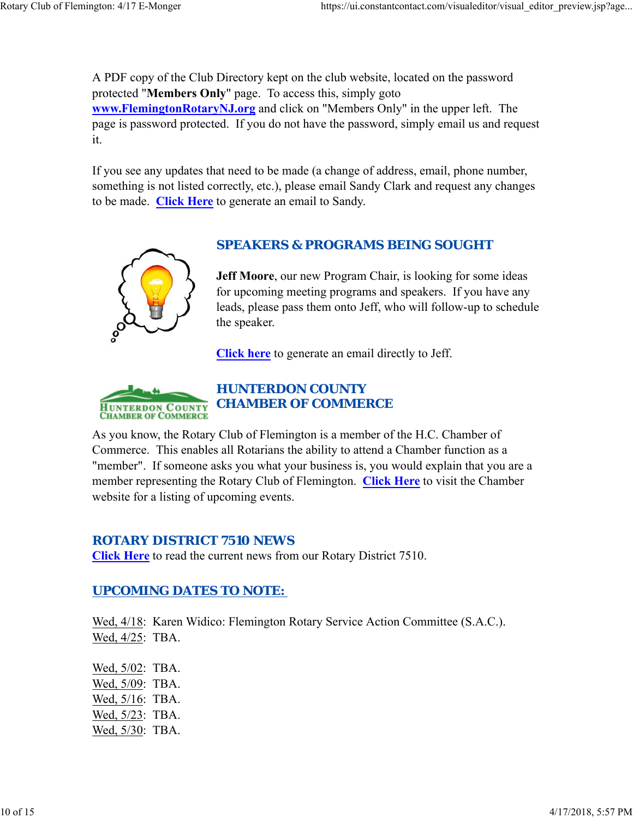A PDF copy of the Club Directory kept on the club website, located on the password protected "**Members Only**" page. To access this, simply goto **www.FlemingtonRotaryNJ.org** and click on "Members Only" in the upper left. The page is password protected. If you do not have the password, simply email us and request it.

If you see any updates that need to be made (a change of address, email, phone number, something is not listed correctly, etc.), please email Sandy Clark and request any changes to be made. **Click Here** to generate an email to Sandy.



## *SPEAKERS & PROGRAMS BEING SOUGHT*

**Jeff Moore**, our new Program Chair, is looking for some ideas for upcoming meeting programs and speakers. If you have any leads, please pass them onto Jeff, who will follow-up to schedule the speaker.

**Click here** to generate an email directly to Jeff.



As you know, the Rotary Club of Flemington is a member of the H.C. Chamber of Commerce. This enables all Rotarians the ability to attend a Chamber function as a "member". If someone asks you what your business is, you would explain that you are a member representing the Rotary Club of Flemington. **Click Here** to visit the Chamber website for a listing of upcoming events.

#### *ROTARY DISTRICT 7510 NEWS*

**Click Here** to read the current news from our Rotary District 7510.

## *UPCOMING DATES TO NOTE:*

Wed, 4/18: Karen Widico: Flemington Rotary Service Action Committee (S.A.C.). Wed, 4/25: TBA.

Wed, 5/02: TBA. Wed, 5/09: TBA. Wed, 5/16: TBA. Wed, 5/23: TBA. Wed, 5/30: TBA.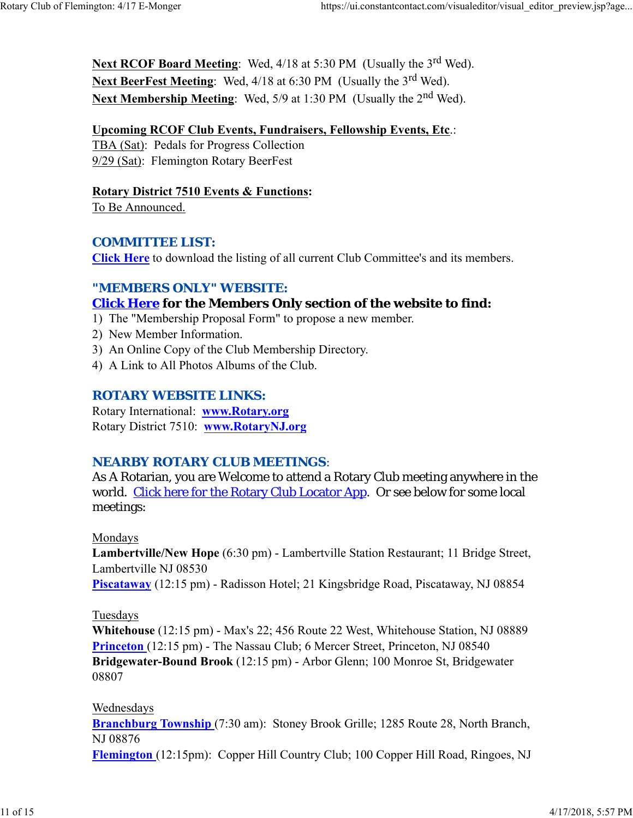Next RCOF Board Meeting: Wed, 4/18 at 5:30 PM (Usually the 3<sup>rd</sup> Wed). **Next BeerFest Meeting:** Wed, 4/18 at 6:30 PM (Usually the 3<sup>rd</sup> Wed). Next Membership Meeting: Wed, 5/9 at 1:30 PM (Usually the 2<sup>nd</sup> Wed).

#### **Upcoming RCOF Club Events, Fundraisers, Fellowship Events, Etc**.:

TBA (Sat): Pedals for Progress Collection 9/29 (Sat): Flemington Rotary BeerFest

#### **Rotary District 7510 Events & Functions:**

To Be Announced.

#### *COMMITTEE LIST:*

**Click Here** to download the listing of all current Club Committee's and its members.

#### *"MEMBERS ONLY" WEBSITE:*

## **Click Here for the Members Only section of the website to find:**

- 1) The "Membership Proposal Form" to propose a new member.
- 2) New Member Information.
- 3) An Online Copy of the Club Membership Directory.
- 4) A Link to All Photos Albums of the Club.

#### *ROTARY WEBSITE LINKS:*

Rotary International: **www.Rotary.org** Rotary District 7510: **www.RotaryNJ.org**

#### *NEARBY ROTARY CLUB MEETINGS:*

As A Rotarian, you are Welcome to attend a Rotary Club meeting anywhere in the world. Click here for the Rotary Club Locator App. Or see below for some local meetings:

#### Mondays

**Lambertville/New Hope** (6:30 pm) - Lambertville Station Restaurant; 11 Bridge Street, Lambertville NJ 08530

**Piscataway** (12:15 pm) - Radisson Hotel; 21 Kingsbridge Road, Piscataway, NJ 08854

#### Tuesdays

**Whitehouse** (12:15 pm) - Max's 22; 456 Route 22 West, Whitehouse Station, NJ 08889 **Princeton** (12:15 pm) - The Nassau Club; 6 Mercer Street, Princeton, NJ 08540 **Bridgewater-Bound Brook** (12:15 pm) - Arbor Glenn; 100 Monroe St, Bridgewater 08807

#### Wednesdays

**Branchburg Township** (7:30 am): Stoney Brook Grille; 1285 Route 28, North Branch, NJ 08876

**Flemington** (12:15pm): Copper Hill Country Club; 100 Copper Hill Road, Ringoes, NJ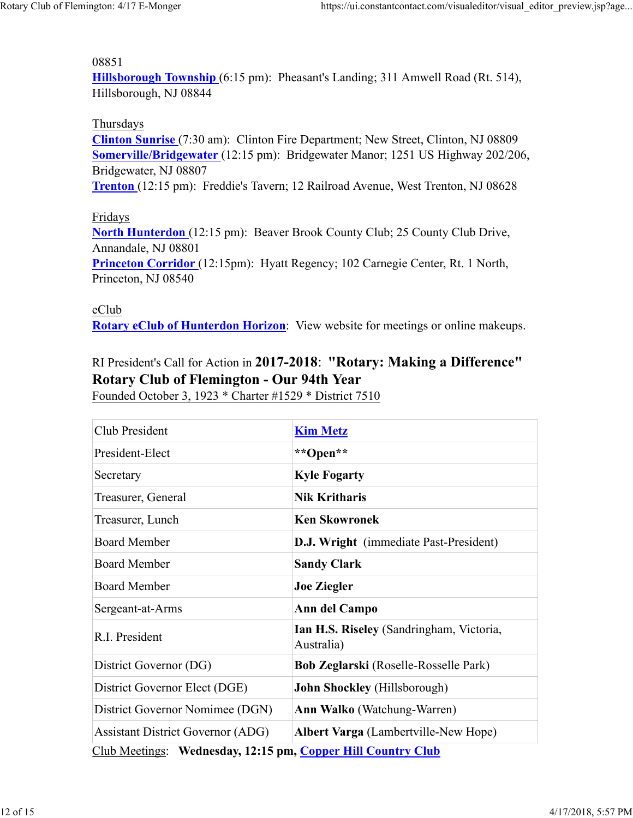#### 08851

**Hillsborough Township** (6:15 pm): Pheasant's Landing; 311 Amwell Road (Rt. 514), Hillsborough, NJ 08844

#### Thursdays

**Clinton Sunrise** (7:30 am): Clinton Fire Department; New Street, Clinton, NJ 08809 **Somerville/Bridgewater** (12:15 pm): Bridgewater Manor; 1251 US Highway 202/206, Bridgewater, NJ 08807

**Trenton** (12:15 pm): Freddie's Tavern; 12 Railroad Avenue, West Trenton, NJ 08628

#### Fridays

**North Hunterdon** (12:15 pm): Beaver Brook County Club; 25 County Club Drive, Annandale, NJ 08801 **Princeton Corridor** (12:15pm): Hyatt Regency; 102 Carnegie Center, Rt. 1 North, Princeton, NJ 08540

#### eClub

**Rotary eClub of Hunterdon Horizon**: View website for meetings or online makeups.

# RI President's Call for Action in **2017-2018**: **"Rotary: Making a Difference" Rotary Club of Flemington - Our 94th Year**

Founded October 3, 1923 \* Charter #1529 \* District 7510

| Club President                                               | <b>Kim Metz</b>                                        |  |  |  |  |
|--------------------------------------------------------------|--------------------------------------------------------|--|--|--|--|
| President-Elect                                              | **Open**                                               |  |  |  |  |
| Secretary                                                    | <b>Kyle Fogarty</b>                                    |  |  |  |  |
| Treasurer, General                                           | <b>Nik Kritharis</b>                                   |  |  |  |  |
| Treasurer, Lunch                                             | <b>Ken Skowronek</b>                                   |  |  |  |  |
| <b>Board Member</b>                                          | <b>D.J. Wright</b> (immediate Past-President)          |  |  |  |  |
| <b>Board Member</b>                                          | <b>Sandy Clark</b>                                     |  |  |  |  |
| <b>Board Member</b>                                          | <b>Joe Ziegler</b>                                     |  |  |  |  |
| Sergeant-at-Arms                                             | Ann del Campo                                          |  |  |  |  |
| R.I. President                                               | Ian H.S. Riseley (Sandringham, Victoria,<br>Australia) |  |  |  |  |
| District Governor (DG)                                       | Bob Zeglarski (Roselle-Rosselle Park)                  |  |  |  |  |
| District Governor Elect (DGE)                                | <b>John Shockley</b> (Hillsborough)                    |  |  |  |  |
| District Governor Nomimee (DGN)                              | <b>Ann Walko</b> (Watchung-Warren)                     |  |  |  |  |
| <b>Assistant District Governor (ADG)</b>                     | <b>Albert Varga</b> (Lambertville-New Hope)            |  |  |  |  |
| Club Meetings: Wednesday, 12:15 pm, Copper Hill Country Club |                                                        |  |  |  |  |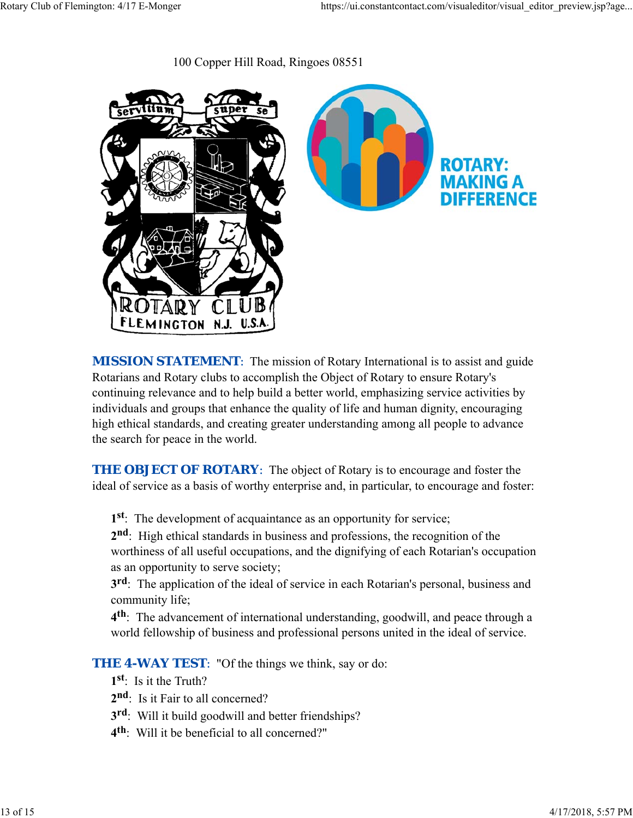100 Copper Hill Road, Ringoes 08551



**MISSION STATEMENT:** The mission of Rotary International is to assist and guide Rotarians and Rotary clubs to accomplish the Object of Rotary to ensure Rotary's continuing relevance and to help build a better world, emphasizing service activities by individuals and groups that enhance the quality of life and human dignity, encouraging high ethical standards, and creating greater understanding among all people to advance the search for peace in the world.

**THE OBJECT OF ROTARY:** The object of Rotary is to encourage and foster the ideal of service as a basis of worthy enterprise and, in particular, to encourage and foster:

**1st**: The development of acquaintance as an opportunity for service;

**2nd**: High ethical standards in business and professions, the recognition of the worthiness of all useful occupations, and the dignifying of each Rotarian's occupation as an opportunity to serve society;

**3rd**: The application of the ideal of service in each Rotarian's personal, business and community life;

**4th**: The advancement of international understanding, goodwill, and peace through a world fellowship of business and professional persons united in the ideal of service.

**THE 4-WAY TEST:** "Of the things we think, say or do:

- **1st**: Is it the Truth?
- 2<sup>nd</sup>: Is it Fair to all concerned?
- **3rd**: Will it build goodwill and better friendships?
- **4th**: Will it be beneficial to all concerned?"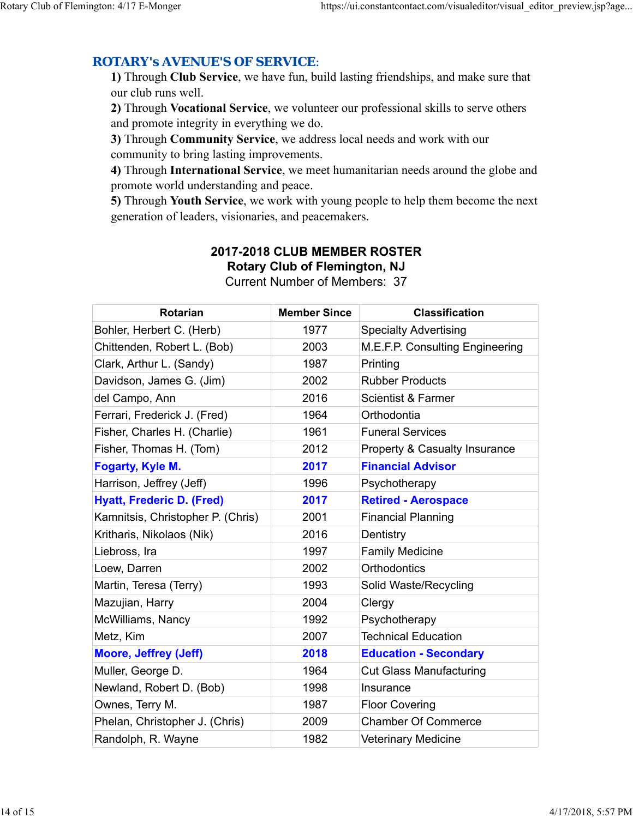## *ROTARY's AVENUE'S OF SERVICE*:

**1)** Through **Club Service**, we have fun, build lasting friendships, and make sure that our club runs well.

**2)** Through **Vocational Service**, we volunteer our professional skills to serve others and promote integrity in everything we do.

**3)** Through **Community Service**, we address local needs and work with our community to bring lasting improvements.

**4)** Through **International Service**, we meet humanitarian needs around the globe and promote world understanding and peace.

**5)** Through **Youth Service**, we work with young people to help them become the next generation of leaders, visionaries, and peacemakers.

# Current Number of Members: 37 Rotarian Member Since **Classification** Bohler, Herbert C. (Herb) 1977 Specialty Advertising Chittenden, Robert L. (Bob) 2003 M.E.F.P. Consulting Engineering

# **2017-2018 CLUB MEMBER ROSTER Rotary Club of Flemington, NJ**

| OMINGHUGH, INODGIL L. (DOD)       | zuuu | ועו.∟.ו .ר. ∪טווסטונוווען ∟וועוווסכווווע |
|-----------------------------------|------|------------------------------------------|
| Clark, Arthur L. (Sandy)          | 1987 | Printing                                 |
| Davidson, James G. (Jim)          | 2002 | <b>Rubber Products</b>                   |
| del Campo, Ann                    | 2016 | <b>Scientist &amp; Farmer</b>            |
| Ferrari, Frederick J. (Fred)      | 1964 | Orthodontia                              |
| Fisher, Charles H. (Charlie)      | 1961 | <b>Funeral Services</b>                  |
| Fisher, Thomas H. (Tom)           | 2012 | Property & Casualty Insurance            |
| Fogarty, Kyle M.                  | 2017 | <b>Financial Advisor</b>                 |
| Harrison, Jeffrey (Jeff)          | 1996 | Psychotherapy                            |
| <b>Hyatt, Frederic D. (Fred)</b>  | 2017 | <b>Retired - Aerospace</b>               |
| Kamnitsis, Christopher P. (Chris) | 2001 | <b>Financial Planning</b>                |
| Kritharis, Nikolaos (Nik)         | 2016 | Dentistry                                |
| Liebross, Ira                     | 1997 | <b>Family Medicine</b>                   |
| Loew, Darren                      | 2002 | <b>Orthodontics</b>                      |
| Martin, Teresa (Terry)            | 1993 | Solid Waste/Recycling                    |
| Mazujian, Harry                   | 2004 | Clergy                                   |
| McWilliams, Nancy                 | 1992 | Psychotherapy                            |
| Metz, Kim                         | 2007 | <b>Technical Education</b>               |
| <b>Moore, Jeffrey (Jeff)</b>      | 2018 | <b>Education - Secondary</b>             |
| Muller, George D.                 | 1964 | <b>Cut Glass Manufacturing</b>           |
| Newland, Robert D. (Bob)          | 1998 | Insurance                                |
| Ownes, Terry M.                   | 1987 | <b>Floor Covering</b>                    |
| Phelan, Christopher J. (Chris)    | 2009 | <b>Chamber Of Commerce</b>               |
| Randolph, R. Wayne                | 1982 | <b>Veterinary Medicine</b>               |
|                                   |      |                                          |